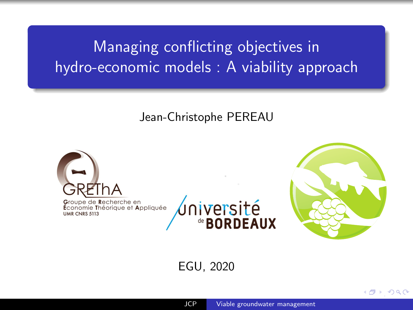## <span id="page-0-0"></span>Managing conflicting objectives in hydro-economic models : A viability approach

Jean-Christophe PEREAU



EGU, 2020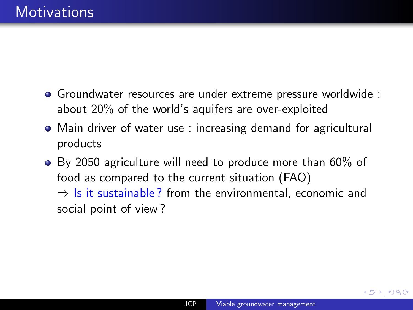- <span id="page-1-0"></span>Groundwater resources are under extreme pressure worldwide : about 20% of the world's aquifers are over-exploited
- Main driver of water use : increasing demand for agricultural products
- By 2050 agriculture will need to produce more than 60% of food as compared to the current situation (FAO)  $\Rightarrow$  Is it sustainable? from the environmental, economic and social point of view ?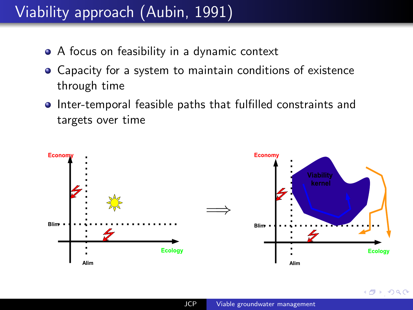## <span id="page-2-0"></span>Viability approach (Aubin, 1991)

- A focus on feasibility in a dynamic context
- Capacity for a system to maintain conditions of existence through time
- **•** Inter-temporal feasible paths that fulfilled constraints and targets over time



 $\Omega$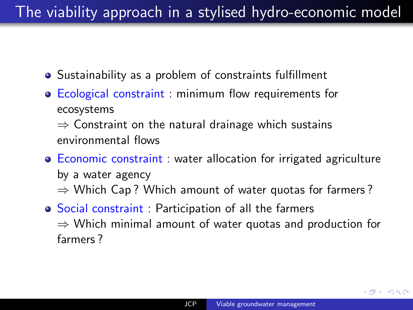### <span id="page-3-0"></span>The viability approach in a stylised hydro-economic model

- Sustainability as a problem of constraints fulfillment
- Ecological constraint : minimum flow requirements for ecosystems

 $\Rightarrow$  Constraint on the natural drainage which sustains environmental flows

- **Economic constraint**: water allocation for irrigated agriculture by a water agency  $\Rightarrow$  Which Cap? Which amount of water quotas for farmers?
- Social constraint : Participation of all the farmers  $\Rightarrow$  Which minimal amount of water quotas and production for farmers ?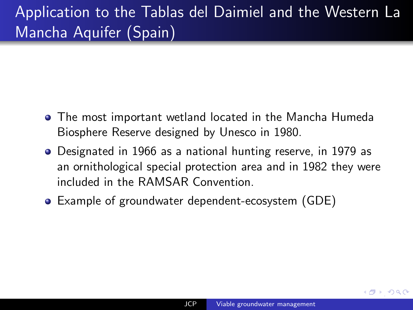## <span id="page-4-0"></span>Application to the Tablas del Daimiel and the Western La Mancha Aquifer (Spain)

- The most important wetland located in the Mancha Humeda Biosphere Reserve designed by Unesco in 1980.
- Designated in 1966 as a national hunting reserve, in 1979 as an ornithological special protection area and in 1982 they were included in the RAMSAR Convention.
- Example of groundwater dependent-ecosystem (GDE)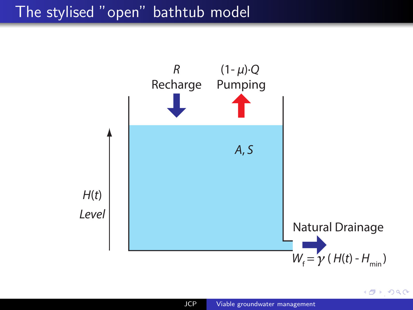#### <span id="page-5-0"></span>The stylised "open" bathtub model



 $\rightarrow$  990

∢ சி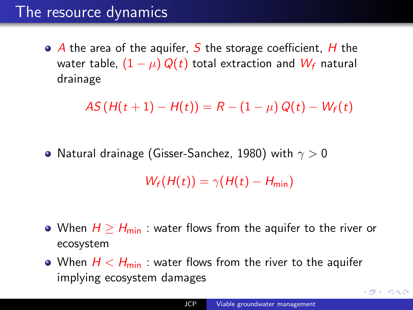#### <span id="page-6-0"></span>The resource dynamics

 $\bullet$  A the area of the aquifer, S the storage coefficient, H the water table,  $(1 - \mu) Q(t)$  total extraction and  $W_f$  natural drainage

 $AS(H(t + 1) - H(t)) = R - (1 - \mu) Q(t) - W_f(t)$ 

• Natural drainage (Gisser-Sanchez, 1980) with  $\gamma > 0$  $W_f(H(t)) = \gamma(H(t) - H_{\min})$ 

- When  $H \geq H_{\min}$  : water flows from the aquifer to the river or ecosystem
- When  $H < H_{\text{min}}$  : water flows from the river to the aquifer implying ecosystem damages

 $\overline{10}$  [,](#page-7-0)  $\overline{10}$  ,  $\overline{10}$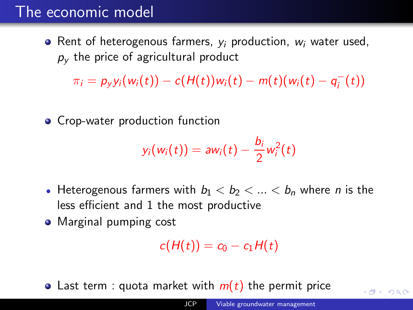#### <span id="page-7-0"></span>The economic model

• Rent of heterogenous farmers,  $y_i$  production,  $w_i$  water used,  $p<sub>V</sub>$  the price of agricultural product

 $\pi_i = p_y y_i(w_i(t)) - c(H(t))w_i(t) - m(t)(w_i(t) - q_i^-(t))$ 

**• Crop-water production function** 

$$
y_i(w_i(t)) = aw_i(t) - \frac{b_i}{2}w_i^2(t)
$$

- Heterogenous farmers with  $b_1 < b_2 < ... < b_n$  where *n* is the less efficient and 1 the most productive
- Marginal pumping cost

$$
c(H(t))=c_0-c_1H(t)
$$

• Last term : quota market with  $m(t)$  the permit price

 $\sqrt{d}$  [,](#page-8-0)  $\sqrt{d}$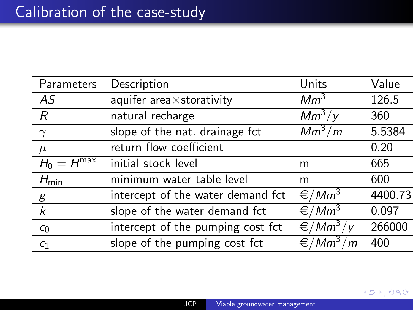<span id="page-8-0"></span>

| Parameters             | Description                       | Units                    | Value   |
|------------------------|-----------------------------------|--------------------------|---------|
| AS                     | aquifer area×storativity          | Mm <sup>3</sup>          | 126.5   |
| R                      | natural recharge                  | $Mm^3/y$                 | 360     |
| $\gamma$               | slope of the nat. drainage fct    | $Mm^3/m$                 | 5.5384  |
| $\mu$                  | return flow coefficient           |                          | 0.20    |
| $H_0 = H^{\text{max}}$ | initial stock level               | m                        | 665     |
| $H_{\text{min}}$       | minimum water table level         | m                        | 600     |
| $\mathcal{E}$          | intercept of the water demand fct | $\epsilon/Mm^3$          | 4400.73 |
| $\boldsymbol{k}$       | slope of the water demand fct     | $\epsilon/Mm^3$          | 0.097   |
| C <sub>0</sub>         | intercept of the pumping cost fct | $\sqrt{\epsilon/Mm^3/y}$ | 266000  |
| C <sub>1</sub>         | slope of the pumping cost fct     | $\epsilon/Mm^3/m$        | 400     |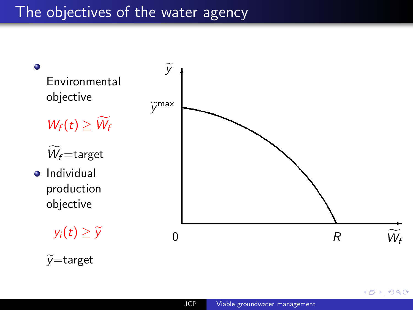#### <span id="page-9-0"></span>The objectives of the water agency



 $2Q$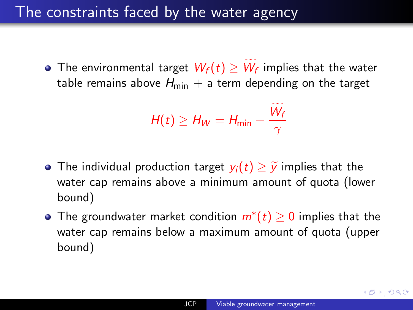#### <span id="page-10-0"></span>The constraints faced by the water agency

• The environmental target  $W_f(t) \geq W_f$  implies that the water table remains above  $H_{\text{min}} + a$  term depending on the target

$$
H(t) \geq H_W = H_{\min} + \frac{\widetilde{W_f}}{\gamma}
$$

- The individual production target  $y_i(t) \geq \tilde{y}$  implies that the water cap remains above a minimum amount of quota (lower bound)
- The groundwater market condition  $m^*(t) \geq 0$  implies that the water cap remains below a maximum amount of quota (upper bound)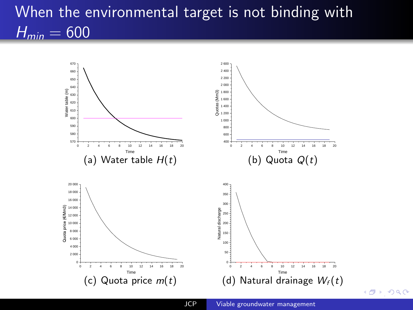## <span id="page-11-0"></span>When the environmental target is not binding with  $H_{min} = 600$



 $\leftarrow$   $\oplus$   $\rightarrow$   $\circ$   $\circ$   $\circ$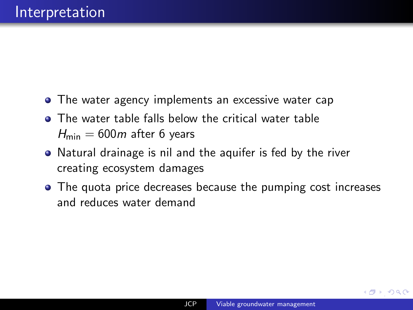- <span id="page-12-0"></span>• The water agency implements an excessive water cap
- **The water table falls below the critical water table**  $H_{\text{min}} = 600m$  after 6 years
- Natural drainage is nil and the aquifer is fed by the river creating ecosystem damages
- The quota price decreases because the pumping cost increases and reduces water demand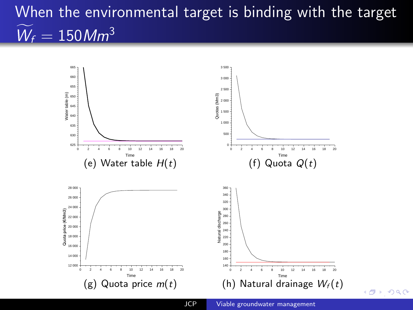# <span id="page-13-0"></span>When the environmental target is binding with the target  $\widetilde{W}_f = 150$  Mm<sup>3</sup>



 $\sqrt{d}$  [,](#page-14-0)  $\sqrt{d}$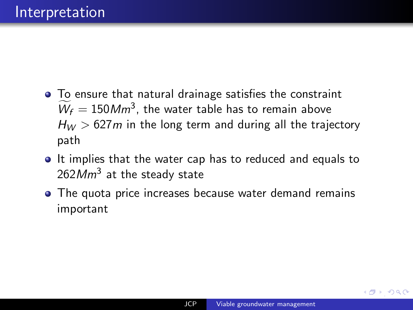- <span id="page-14-0"></span>To ensure that natural drainage satisfies the constraint  $\widetilde{W}_f = 150 Mm^3$ , the water table has to remain above  $H_W > 627$  m in the long term and during all the trajectory path
- It implies that the water cap has to reduced and equals to  $262Mm^3$  at the steady state
- **•** The quota price increases because water demand remains important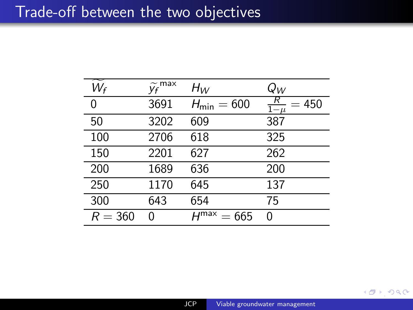#### <span id="page-15-0"></span>Trade-off between the two objectives

| $W_f$     | $\widetilde{y_f}^{\max}$ | $H_W$                     | $Q_W$                  |
|-----------|--------------------------|---------------------------|------------------------|
| 0         | 3691                     | $H_{\text{min}} = 600$    | $rac{R}{1-\mu}$<br>450 |
| 50        | 3202                     | 609                       | 387                    |
| 100       | 2706                     | 618                       | 325                    |
| 150       | 2201                     | 627                       | 262                    |
| 200       | 1689                     | 636                       | 200                    |
| 250       | 1170                     | 645                       | 137                    |
| 300       | 643                      | 654                       | 75                     |
| $R = 360$ | ∩                        | $H^{\text{max}}$<br>= 665 | ი                      |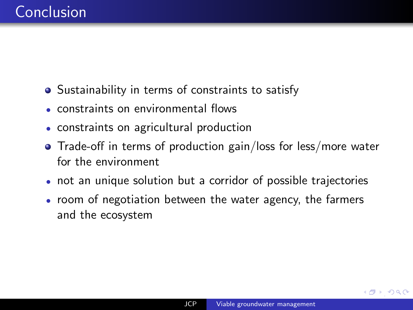- <span id="page-16-0"></span>**•** Sustainability in terms of constraints to satisfy
- constraints on environmental flows
- constraints on agricultural production
- Trade-off in terms of production gain/loss for less/more water for the environment
- not an unique solution but a corridor of possible trajectories
- room of negotiation between the water agency, the farmers and the ecosystem